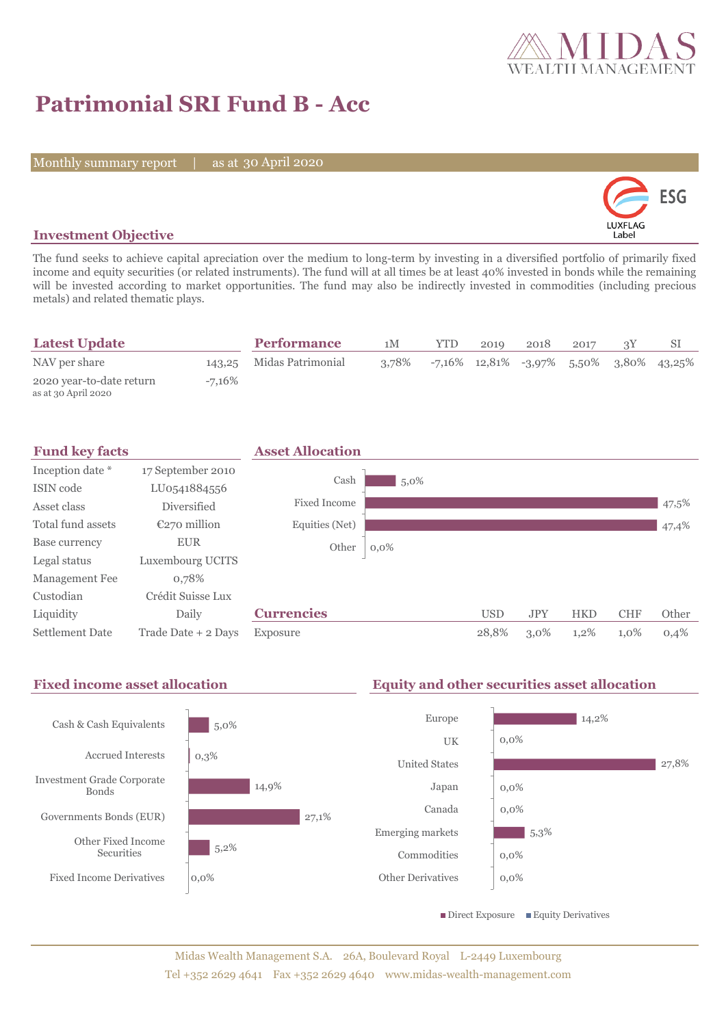

# **Patrimonial SRI Fund B - Acc**

Monthly summary report | as at 30 April 2020



# **Investment Objective**

The fund seeks to achieve capital apreciation over the medium to long-term by investing in a diversified portfolio of primarily fixed income and equity securities (or related instruments). The fund will at all times be at least 40% invested in bonds while the remaining will be invested according to market opportunities. The fund may also be indirectly invested in commodities (including precious metals) and related thematic plays.

| <b>Latest Update</b>                            |        | <b>Performance</b>       | 1M    | <b>YTD</b> | 2019 | 2018                                                      | 2017 |  |
|-------------------------------------------------|--------|--------------------------|-------|------------|------|-----------------------------------------------------------|------|--|
| NAV per share                                   |        | 143.25 Midas Patrimonial | 3.78% |            |      | $-7,16\%$ $12,81\%$ $-3,97\%$ $5,50\%$ $3,80\%$ $43,25\%$ |      |  |
| 2020 year-to-date return<br>as at 30 April 2020 | -7.16% |                          |       |            |      |                                                           |      |  |

| <b>Fund key facts</b>  |                     | <b>Asset Allocation</b> |         |            |            |            |            |       |
|------------------------|---------------------|-------------------------|---------|------------|------------|------------|------------|-------|
| Inception date *       | 17 September 2010   |                         |         |            |            |            |            |       |
| ISIN code              | LU0541884556        | Cash                    | $5,0\%$ |            |            |            |            |       |
| Asset class            | <b>Diversified</b>  | <b>Fixed Income</b>     |         |            |            |            |            | 47,5% |
| Total fund assets      | $E270$ million      | Equities (Net)          |         |            |            |            |            | 47,4% |
| Base currency          | <b>EUR</b>          | Other                   | $0,0\%$ |            |            |            |            |       |
| Legal status           | Luxembourg UCITS    |                         |         |            |            |            |            |       |
| Management Fee         | 0.78%               |                         |         |            |            |            |            |       |
| Custodian              | Crédit Suisse Lux   |                         |         |            |            |            |            |       |
| Liquidity              | Daily               | <b>Currencies</b>       |         | <b>USD</b> | <b>JPY</b> | <b>HKD</b> | <b>CHF</b> | Other |
| <b>Settlement Date</b> | Trade Date + 2 Days | Exposure                |         | 28,8%      | $3,0\%$    | $1,2\%$    | 1,0%       | 0,4%  |

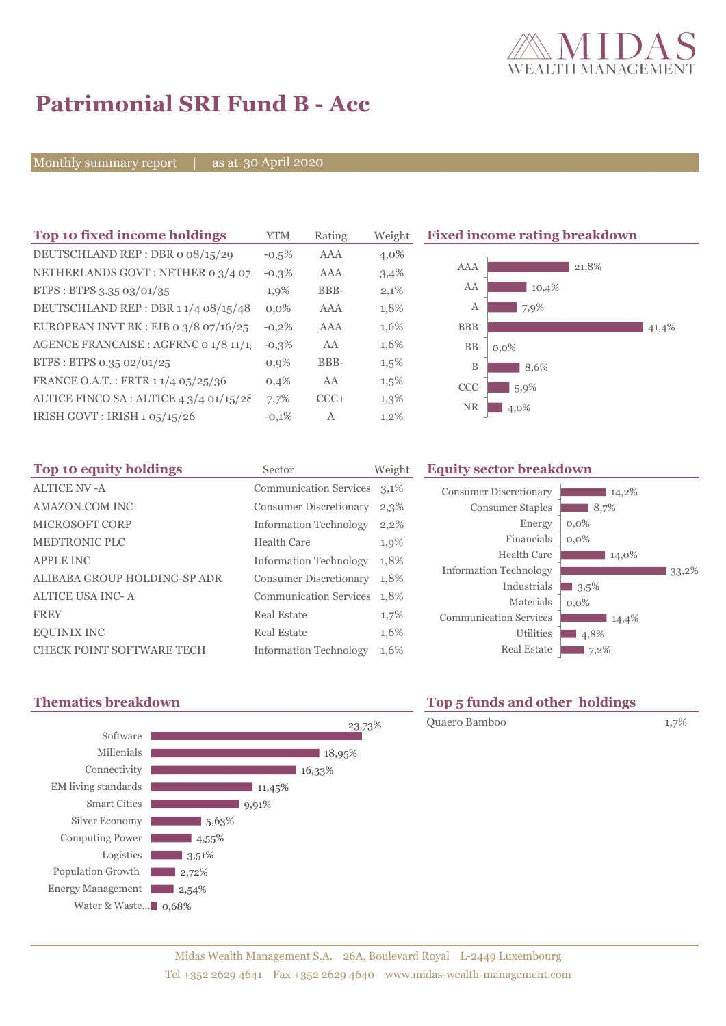

# **Patrimonial SRI Fund B - Acc**

Monthly summary report | as at 30 April 2020

| Top 10 fixed income holdings            | YTM     | Rating | Weight  |
|-----------------------------------------|---------|--------|---------|
| DEUTSCHLAND REP: DBR o 08/15/29         | $-0.5%$ | AAA    | 4,0%    |
| NETHERLANDS GOVT: NETHER 0 3/4 07       | $-0,3%$ | AAA    | 3,4%    |
| BTPS: BTPS 3.35 03/01/35                | 1,9%    | BBB-   | 2,1%    |
| DEUTSCHLAND REP: DBR 1 1/4 08/15/48     | $0.0\%$ | AAA    | 1,8%    |
| EUROPEAN INVT BK : EIB o $3/8$ 07/16/25 | $-0,2%$ | AAA    | 1,6%    |
| AGENCE FRANCAISE : AGFRNC 0 1/8 11/1!   | $-0.3%$ | AA     | 1,6%    |
| BTPS: BTPS 0.35 02/01/25                | 0.9%    | BBB-   | 1,5%    |
| FRANCE O.A.T.: FRTR 1 1/4 05/25/36      | 0,4%    | AA     | $1,5\%$ |
| ALTICE FINCO SA: ALTICE 4 3/4 01/15/28  | 7,7%    | $CCC+$ | 1,3%    |
| IRISH GOVT: IRISH 1 05/15/26            | $-0.1%$ | A      | $1,2\%$ |
|                                         |         |        |         |

### **Fixed income rating breakdown**



| Top 10 equity holdings           | Sector                        | Weight | <b>Equity</b> |
|----------------------------------|-------------------------------|--------|---------------|
| <b>ALTICE NV-A</b>               | Communication Services 3,1%   |        | Consum        |
| <b>AMAZON.COM INC</b>            | <b>Consumer Discretionary</b> | 2,3%   | C             |
| <b>MICROSOFT CORP</b>            | <b>Information Technology</b> | 2,2%   |               |
| <b>MEDTRONIC PLC</b>             | <b>Health Care</b>            | 1,9%   |               |
| <b>APPLE INC</b>                 | <b>Information Technology</b> | 1,8%   |               |
| ALIBABA GROUP HOLDING-SP ADR     | <b>Consumer Discretionary</b> | 1,8%   | Informa       |
| <b>ALTICE USA INC-A</b>          | <b>Communication Services</b> | 1.8%   |               |
| <b>FREY</b>                      | <b>Real Estate</b>            | 1,7%   | Commu         |
| <b>EQUINIX INC</b>               | <b>Real Estate</b>            | 1,6%   |               |
| <b>CHECK POINT SOFTWARE TECH</b> | <b>Information Technology</b> | 1,6%   |               |

## **Sector breakdown**

| <b>Consumer Discretionary</b> | 14,2%   |
|-------------------------------|---------|
| <b>Consumer Staples</b>       | 8,7%    |
| Energy                        | $0,0\%$ |
| Financials                    | $0.0\%$ |
| Health Care                   | 14,0%   |
| <b>Information Technology</b> | 33,2%   |
| Industrials                   | 3,5%    |
| Materials                     | $0.0\%$ |
| <b>Communication Services</b> | 14,4%   |
| <b>Utilities</b>              | 4,8%    |
| <b>Real Estate</b>            | 7,2%    |



# **Thematics breakdown Top 5 funds and other holdings**

Quaero Bamboo 1,7%